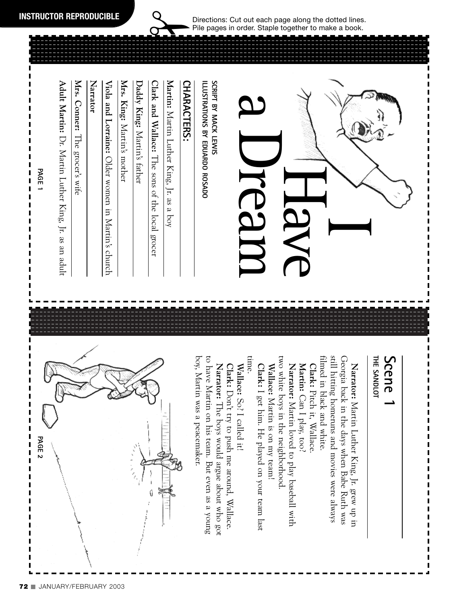Ţ

 $\frac{1}{2}$ 



Directions: Cut out each page along the dotted lines. Pile pages in order. Staple together to make a book.

### **Scene 1** THE SANDLOT **THE SANDLOT**

I I

boy, Martin was a peacemaker. still hitting homeruns and movies were always Georgia back in the days when Babe Ruth was boy, Martin was a peacemaker. to have Martin on his team. But even as a young time. two white boys in the neighborhood two white boys in the neighborhood. filmed in black and white. filmed in black and white. still hitting homeruns and movies were always Georgia back in the days when Babe Ruth was Martin: Can I play, too? Narrator: Martin Luther King, Jr. grew up in Narrator: The boys would argue about who got **Narrator: Clark:** Don't try to push me around, Wallace. Wallace: So? I called it! **Wallace: Clark:** I get him. He played on your team last Narrator: Martin loved to play baseball with **Narrator: Narrator: Wallace:** Martin is on my team! **Clark:** Pitch it, Wallace. Don't try to push me around, Wallace. I get him. He played on your team last Pitch it, Wallace. Can I play, too? So? I called it! Martin is on my team! The boys would argue about who got Martin loved to play baseball with Martin Luther King, Jr. grew up in

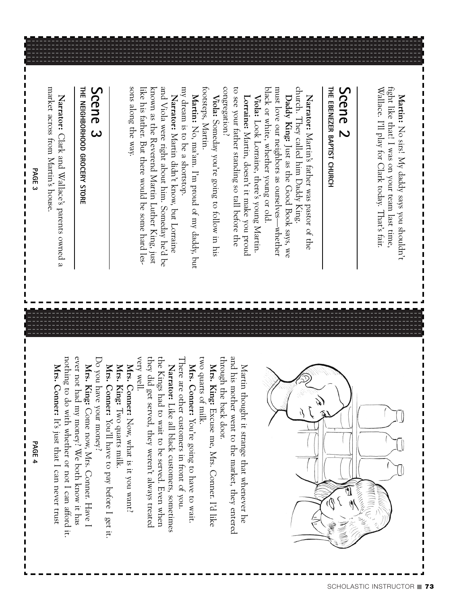footsteps, Martin. congregation? to see your father standing so tall before the black or white, whether young or old. must love our neighbors as ourselves—whether church. They called him Daddy King. footsteps, Martin. congregation? to see your father standing so tall before the black or white, whether young or old. must love our neighbors as ourselves—whether church. They called him Daddy King. Narrator: Martin's father was pastor of the Viola: Someday you're going to follow in his Lorraine: Martin, doesn't it make you proud Daddy King: Just as the Good Book says, we **Lorraine: Viola:** Look Lorraine, there's young Martin. **Daddy King: Narrator:** Someday you're going to follow in his Look Lorraine, there's young Martin. Martin, doesn't it make you proud Martin's father was pastor of the Just as the Good Book says, we

my dream is to be a shortstop. my dream is to be a shortstop. Martin: No, ma'am. I'm proud of my daddy, but No, ma'am. I'm proud of my daddy, but

sons along the way. known as the Reverend Martin Luther King, just and Viola were right about him. Someday he'd be sons along the way. like his father. But there would be some hard lesknown as the Reverend Martin Luther King, just and Viola were right about him. Someday he'd be ike his father. But there would be some hard les-Narrator: Martin didn't know, but Lorraine **Narrator:** Martin didn't know, but Lorraine

# **Scene 3**

THE NEIGHBORHOOD GROCERY STORE **THE NEIGHBORHOOD GROCERY STORE**

market across from Martin's house market across from Martin's house. Narrator: Clark and Wallace's parents owned a **Narrator:** Clark and Wallace's parents owned a



 $\frac{1}{1}$ 



**PAGE 4**

 $\frac{1}{1}$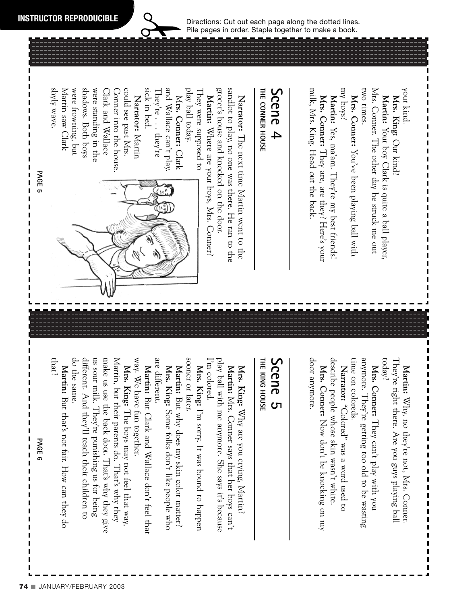Directions: Cut out each page along the dotted lines. Pile pages in order. Staple together to make a book.

### THE CONNER HOUSE **THE CONNER HOUSE Scene 4** milk, Mrs. King. Head out the back milk, Mrs. King. Head out the back. **Narrator:**

grocer's house and knocked on the door. grocer's house and knocked on the door. sandlot to play, no one was there. He ran to the sandlot to play, no one was there. He ran to the Martin: Where are your boys, Mrs. Conner Narrator: The next time Martin went to the Where are your boys, Mrs. Conner? The next time Martin went to the

could see past Mrs. sick in bed. and Wallace can't play. could see past Mrs. sick in bed. They're  $\ldots$  they're They're  $\ldots$  they're and Wallace can't play. play ball today. play ball today. They were supposed to I hey were supposed to Narrator: Martin **Narrator:**  $\leq$ **rs. Conner:** Clark

shyly wave. Martin saw Clark Martin saw Clark were trowning, but were frowning, but shadows. Both boys shadows. Both boys were standing in the were standing in the Clark and Wallace Clark and Wallace Conner into the house. Conner into the house.



today? They're right there. Are you guys playing bal They're right there. Are you guys playing ball Martin: Why, no they're not, Mrs. Conner Why, no they're not, Mrs. Conner.

your kind. **Mrs. King:**

,,,,,,,,,,,,,,,,,,

I

 $\blacksquare$ 

Our kind?

Mrs. King: Our kind

Martin: Your boy Clark is quite a ball player

Mrs. Conner. The other day he struck me out

Mrs. Conner. The other day he struck me out

two times.

two times.

**Mrs. Conner:**

You've been playing ball with

Mrs. Conner: You've been playing ball with<br>my boys?

Martin: Yes, ma'am. They're my best friends!

**Mrs. Conner:**

Yes, ma'am. They're my best friends!

They are, are they? Here's your

Mrs. Conner: They are, are they? Here's your

Your boy Clark is quite a ball player,

anymore. They're getting too old to be wasting time on coloreds. time on coloreds. anymore. They're getting too old to be wasting Mrs. Conner: They can't play with you **Mrs. Conner:** They can't play with you

describe people whose skin wasn't white. describe people whose skin wasn't white. Narrator: "Colored" was a word used to **Narrator:** "Colored" was a word used to

door anymore. door anymore. Mrs. Conner: Now don't be knocking on my **Mrs. Conner:** Now don't be knocking on my

## **Scene 5**

THE KING HOUSE **THE KING HOUSE**

play ball with me anymore. She says it's because play ball with me anymore. She says it's because m colored. I'm colored. **Martin:** Mrs. Conner says that her boys can't Mrs. King: Why are you crying, Martin? **Mrs. King:** Mrs. Conner says that her boys can't Why are you crying, Martin?

sooner or later. sooner or later. Mrs. King: I'm sorry. It was bound to happen **Mrs. King:** I'm sorry. It was bound to happen

are different. are different. Mrs. King: Some folks don't like people who **Martin:** But why does my skin color matter? **Mrs. King:** But why does my skin color matter? Some folks don't like people who

way. We have fun together. way. We have fun together. **Martin:** But Clark and Wallace don't feel that But Clark and Wallace don't feel that

do the same. different. And they'll teach their children to us sour milk. They're punishing us for being make us use the back door. That's why they give Martin, but their parents do. That's why they do the same. different. And they'll teach their children to us sour milk. They're punishing us for being make us use the back door. That's why they give Martin, but their parents do. That's why they Mrs. King: The boys may not feel that way, **Mrs. King:** The boys may not feel that way,

**Martin:** But that's not fair. How can they do But that's not fair. How can they do that?

**PAGE 6**

 $\frac{1}{1}$ 

**PAGE 5**

 $\frac{1}{1}$   $\frac{1}{1}$   $\frac{1}{1}$   $\frac{1}{1}$ 

I

I I  $\blacksquare$ I  $\mathbf{I}$